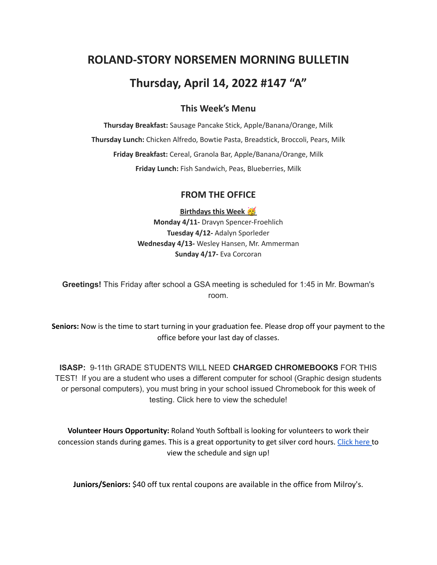# **ROLAND-STORY NORSEMEN MORNING BULLETIN**

## **Thursday, April 14, 2022 #147 "A"**

## **This Week's Menu**

**Thursday Breakfast:** Sausage Pancake Stick, Apple/Banana/Orange, Milk **Thursday Lunch:** Chicken Alfredo, Bowtie Pasta, Breadstick, Broccoli, Pears, Milk **Friday Breakfast:** Cereal, Granola Bar, Apple/Banana/Orange, Milk **Friday Lunch:** Fish Sandwich, Peas, Blueberries, Milk

## **FROM THE OFFICE**

**Birthdays this Week Monday 4/11-** Dravyn Spencer-Froehlich **Tuesday 4/12-** Adalyn Sporleder **Wednesday 4/13-** Wesley Hansen, Mr. Ammerman **Sunday 4/17-** Eva Corcoran

**Greetings!** This Friday after school a GSA meeting is scheduled for 1:45 in Mr. Bowman's room.

**Seniors:** Now is the time to start turning in your graduation fee. Please drop off your payment to the office before your last day of classes.

**ISASP:** 9-11th GRADE STUDENTS WILL NEED **CHARGED CHROMEBOOKS** FOR THIS TEST! If you are a student who uses a different computer for school (Graphic design students or personal computers), you must bring in your school issued Chromebook for this week of testing. Click here to view the schedule!

**Volunteer Hours Opportunity:** Roland Youth Softball is looking for volunteers to work their concession stands during games. This is a great opportunity to get silver cord hours. [Click](https://www.signupgenius.com/go/70a094facac2aa0f85-roland1) here to view the schedule and sign up!

**Juniors/Seniors:** \$40 off tux rental coupons are available in the office from Milroy's.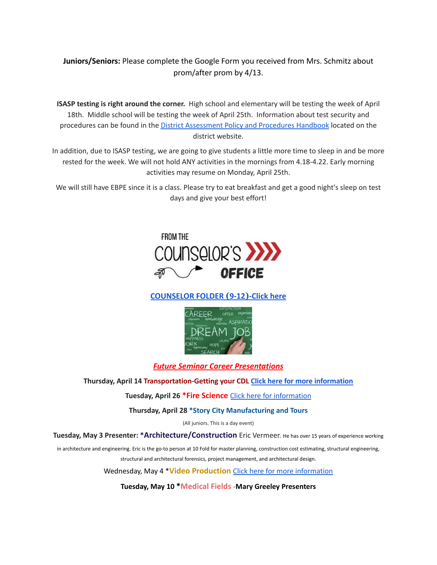## **Juniors/Seniors:** Please complete the Google Form you received from Mrs. Schmitz about prom/after prom by 4/13.

**ISASP testing is right around the corner.** High school and elementary will be testing the week of April 18th. Middle school will be testing the week of April 25th. Information about test security and procedures can be found in the **District [Assessment](https://rolandstory.school/media/Michelle%20Soderstrum/RSCSD_District_Assessment_Poli%20-%20Copy%203.pdf) Policy and Procedures Handbook** located on the district website.

In addition, due to ISASP testing, we are going to give students a little more time to sleep in and be more rested for the week. We will not hold ANY activities in the mornings from 4.18-4.22. Early morning activities may resume on Monday, April 25th.

We will still have EBPE since it is a class. Please try to eat breakfast and get a good night's sleep on test days and give your best effort!



## **[COUNSELOR FOLDER](https://docs.google.com/document/d/1vmwczNPbDzXe9vFaG5LJMQ7NYDv-i4oQJHybqA65TUc/edit?usp=sharing) (9-12)-Click here**



## *Future Seminar Career Presentations*

#### **Thursday, April 14 Transportation-Getting your CDL Click here for more [information](https://www.dmacc.edu/truckdrivingschools/Pages/welcome.aspx)**

#### **Tuesday, April 26 \*Fire Science** Click here for [information](https://www.dmacc.edu/programs/fire/Pages/welcome.aspx)

#### **Thursday, April 28 \*Story City Manufacturing and Tours**

(All juniors. This is a day event)

**Tuesday, May 3 Presenter: \*Architecture/Construction** Eric Vermeer. He has over <sup>15</sup> years of experience working

in architecture and engineering. Eric is the go-to person at 10 Fold for master planning, construction cost estimating, structural engineering, structural and architectural forensics, project management, and architectural design.

Wednesday, May 4 \***Video Production** Click here for more [information](https://www.dmacc.edu/programs/video/Pages/welcome.aspx)

**Tuesday, May 10 \*Medical Fields -Mary Greeley Presenters**